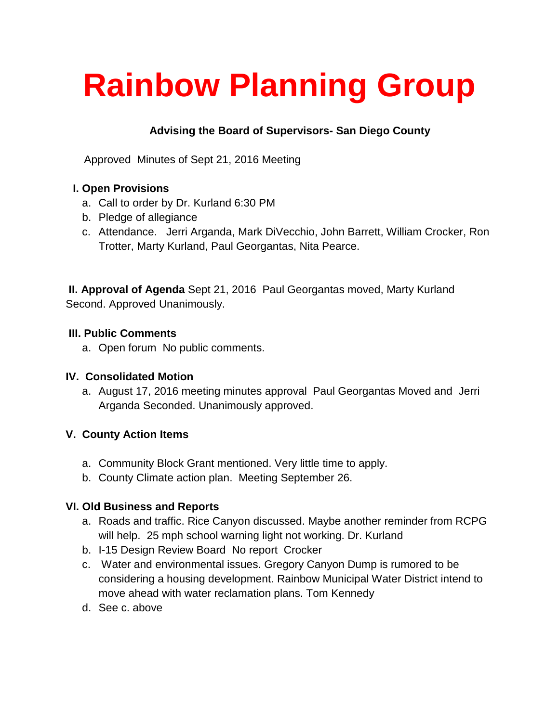# **Rainbow Planning Group**

# **Advising the Board of Supervisors- San Diego County**

Approved Minutes of Sept 21, 2016 Meeting

## **I. Open Provisions**

- a. Call to order by Dr. Kurland 6:30 PM
- b. Pledge of allegiance
- c. Attendance. Jerri Arganda, Mark DiVecchio, John Barrett, William Crocker, Ron Trotter, Marty Kurland, Paul Georgantas, Nita Pearce.

**II. Approval of Agenda** Sept 21, 2016 Paul Georgantas moved, Marty Kurland Second. Approved Unanimously.

#### **III. Public Comments**

a. Open forum No public comments.

#### **IV. Consolidated Motion**

a. August 17, 2016 meeting minutes approval Paul Georgantas Moved and Jerri Arganda Seconded. Unanimously approved.

#### **V. County Action Items**

- a. Community Block Grant mentioned. Very little time to apply.
- b. County Climate action plan. Meeting September 26.

#### **VI. Old Business and Reports**

- a. Roads and traffic. Rice Canyon discussed. Maybe another reminder from RCPG will help. 25 mph school warning light not working. Dr. Kurland
- b. I-15 Design Review Board No report Crocker
- c. Water and environmental issues. Gregory Canyon Dump is rumored to be considering a housing development. Rainbow Municipal Water District intend to move ahead with water reclamation plans. Tom Kennedy
- d. See c. above